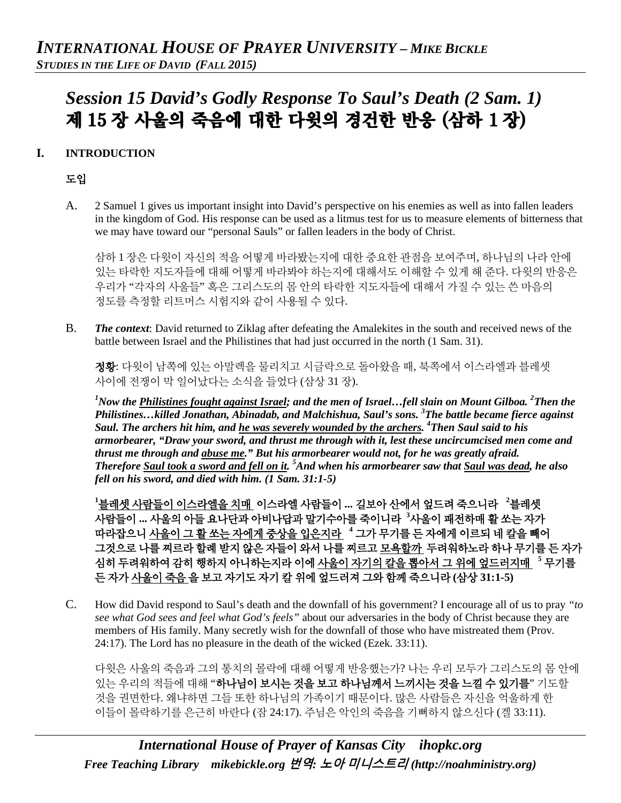# *Session 15 David's Godly Response To Saul's Death (2 Sam. 1)* 제 15 장 사울의 죽음에 대한 다윗의 경건한 반응 (삼하 1 장)

#### **I. INTRODUCTION**

#### 도입

A. 2 Samuel 1 gives us important insight into David's perspective on his enemies as well as into fallen leaders in the kingdom of God. His response can be used as a litmus test for us to measure elements of bitterness that we may have toward our "personal Sauls" or fallen leaders in the body of Christ.

삼하 1 장은 다윗이 자신의 적을 어떻게 바라봤는지에 대한 중요한 관점을 보여주며, 하나님의 나라 안에 있는 타락한 지도자들에 대해 어떻게 바라봐야 하는지에 대해서도 이해할 수 있게 해 준다. 다윗의 반응은 우리가 "각자의 사울들" 혹은 그리스도의 몸 안의 타락한 지도자들에 대해서 가질 수 있는 쓴 마음의 정도를 측정할 리트머스 시험지와 같이 사용될 수 있다.

B. *The context*: David returned to Ziklag after defeating the Amalekites in the south and received news of the battle between Israel and the Philistines that had just occurred in the north (1 Sam. 31).

정황: 다윗이 남쪽에 있는 아말렉을 물리치고 시글락으로 돌아왔을 때, 북쪽에서 이스라엘과 블레셋 사이에 전쟁이 막 일어났다는 소식을 들었다 (삼상 31 장).

<sup>1</sup>Now the <u>Philistines fought against Israel</u>; and the men of Israel...fell slain on Mount Gilboa. <sup>2</sup>Then the *Philistines…killed Jonathan, Abinadab, and Malchishua, Saul's sons. 3 The battle became fierce against Saul. The archers hit him, and he was severely wounded by the archers. 4 Then Saul said to his armorbearer, "Draw your sword, and thrust me through with it, lest these uncircumcised men come and thrust me through and abuse me." But his armorbearer would not, for he was greatly afraid. Therefore Saul took a sword and fell on it. <sup>5</sup> And when his armorbearer saw that Saul was dead, he also fell on his sword, and died with him. (1 Sam. 31:1-5)*

**1** 블레셋 사람들이 이스라엘을 치매 이스라엘 사람들이 **...** 길보아 산에서 엎드려 죽으니라 **<sup>2</sup>** 블레셋 사람들이 **...** 사울의 아들 요나단과 아비나답과 말기수아를 죽이니라 **<sup>3</sup>** 사울이 패전하매 활 쏘는 자가 따라잡으니 사울이 그 활 쏘는 자에게 중상을 입은지라 **<sup>4</sup>** 그가 무기를 든 자에게 이르되 네 칼을 빼어 그것으로 나를 찌르라 할례 받지 않은 자들이 와서 나를 찌르고 모욕할까 두려워하노라 하나 무기를 든 자가 심히 두려워하여 감히 행하지 아니하는지라 이에 사울이 자기의 칼을 뽑아서 그 위에 엎드러지매 **<sup>5</sup>** 무기를 든 자가 사울이 죽음 을 보고 자기도 자기 칼 위에 엎드러져 그와 함께 죽으니라 **(**삼상 **31:1-5)**

C. How did David respond to Saul's death and the downfall of his government? I encourage all of us to pray *"to see what God sees and feel what God's feels"* about our adversaries in the body of Christ because they are members of His family. Many secretly wish for the downfall of those who have mistreated them (Prov. 24:17). The Lord has no pleasure in the death of the wicked (Ezek. 33:11).

다윗은 사울의 죽음과 그의 통치의 몰락에 대해 어떻게 반응했는가? 나는 우리 모두가 그리스도의 몸 안에 있는 우리의 적들에 대해 "하나님이 보시는 것을 보고 하나님께서 느끼시는 것을 느낄 수 있기를" 기도할 것을 권면한다. 왜냐하면 그들 또한 하나님의 가족이기 때문이다. 많은 사람들은 자신을 억울하게 한 이들이 몰락하기를 은근히 바란다 (잠 24:17). 주님은 악인의 죽음을 기뻐하지 않으신다 (겔 33:11).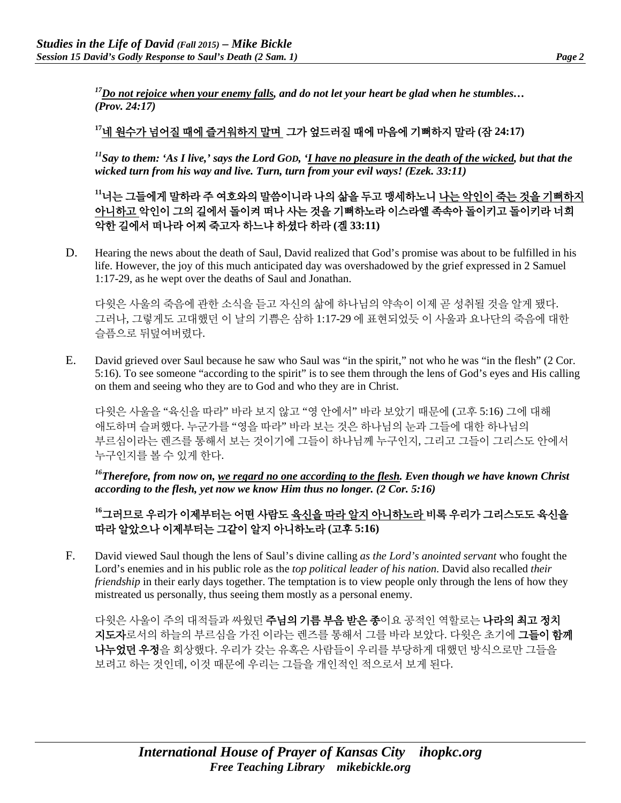*17Do not rejoice when your enemy falls, and do not let your heart be glad when he stumbles… (Prov. 24:17)*

## **<sup>17</sup>**네 원수가 넘어질 때에 즐거워하지 말며 그가 엎드러질 때에 마음에 기뻐하지 말라 **(**잠 **24:17)**

*11Say to them: 'As I live,' says the Lord GOD, 'I have no pleasure in the death of the wicked, but that the wicked turn from his way and live. Turn, turn from your evil ways! (Ezek. 33:11)*

**<sup>11</sup>**너는 그들에게 말하라 주 여호와의 말씀이니라 나의 삶을 두고 맹세하노니 나는 악인이 죽는 것을 기뻐하지 아니하고 악인이 그의 길에서 돌이켜 떠나 사는 것을 기뻐하노라 이스라엘 족속아 돌이키고 돌이키라 너희 악한 길에서 떠나라 어찌 죽고자 하느냐 하셨다 하라 **(**겔 **33:11)**

D. Hearing the news about the death of Saul, David realized that God's promise was about to be fulfilled in his life. However, the joy of this much anticipated day was overshadowed by the grief expressed in 2 Samuel 1:17-29, as he wept over the deaths of Saul and Jonathan.

다윗은 사울의 죽음에 관한 소식을 듣고 자신의 삶에 하나님의 약속이 이제 곧 성취될 것을 알게 됐다. 그러나, 그렇게도 고대했던 이 날의 기쁨은 삼하 1:17-29 에 표현되었듯 이 사울과 요나단의 죽음에 대한 슬픔으로 뒤덮여버렸다.

E. David grieved over Saul because he saw who Saul was "in the spirit," not who he was "in the flesh" (2 Cor. 5:16). To see someone "according to the spirit" is to see them through the lens of God's eyes and His calling on them and seeing who they are to God and who they are in Christ.

다윗은 사울을 "육신을 따라" 바라 보지 않고 "영 안에서" 바라 보았기 때문에 (고후 5:16) 그에 대해 애도하며 슬퍼했다. 누군가를 "영을 따라" 바라 보는 것은 하나님의 눈과 그들에 대한 하나님의 부르심이라는 렌즈를 통해서 보는 것이기에 그들이 하나님께 누구인지, 그리고 그들이 그리스도 안에서 누구인지를 볼 수 있게 한다.

*16Therefore, from now on, we regard no one according to the flesh. Even though we have known Christ according to the flesh, yet now we know Him thus no longer. (2 Cor. 5:16)*

#### **<sup>16</sup>**그러므로 우리가 이제부터는 어떤 사람도 육신을 따라 알지 아니하노라 비록 우리가 그리스도도 육신을 따라 알았으나 이제부터는 그같이 알지 아니하노라 **(**고후 **5:16)**

F. David viewed Saul though the lens of Saul's divine calling *as the Lord's anointed servant* who fought the Lord's enemies and in his public role as the *top political leader of his nation*. David also recalled *their friendship* in their early days together. The temptation is to view people only through the lens of how they mistreated us personally, thus seeing them mostly as a personal enemy.

다윗은 사울이 주의 대적들과 싸웠던 **주님의 기름 부음 받은 종**이요 공적인 역할로는 **나라의 최고 정치** 지도자로서의 하늘의 부르심을 가진 이라는 렌즈를 통해서 그를 바라 보았다. 다윗은 초기에 그들이 함께 나누었던 우정을 회상했다. 우리가 갖는 유혹은 사람들이 우리를 부당하게 대했던 방식으로만 그들을 보려고 하는 것인데, 이것 때문에 우리는 그들을 개인적인 적으로서 보게 된다.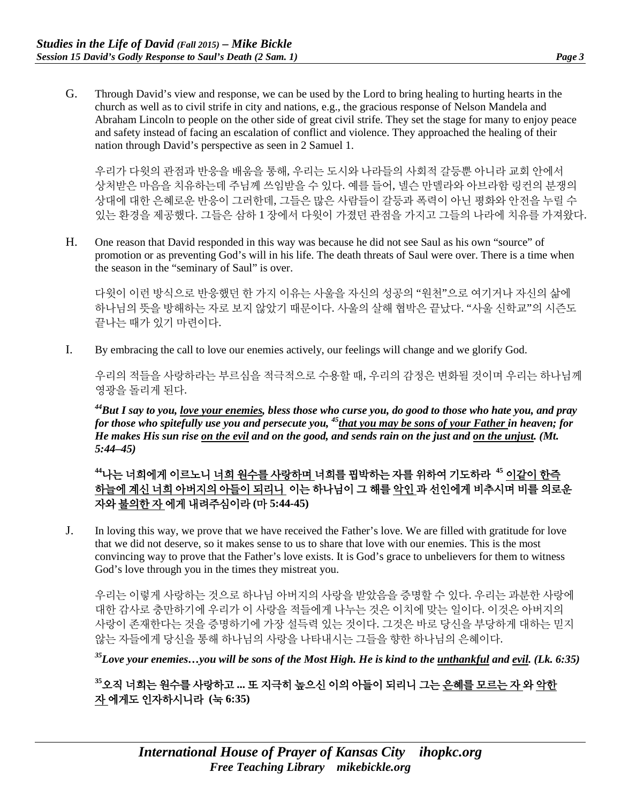G. Through David's view and response, we can be used by the Lord to bring healing to hurting hearts in the church as well as to civil strife in city and nations, e.g., the gracious response of Nelson Mandela and Abraham Lincoln to people on the other side of great civil strife. They set the stage for many to enjoy peace and safety instead of facing an escalation of conflict and violence. They approached the healing of their nation through David's perspective as seen in 2 Samuel 1.

우리가 다윗의 관점과 반응을 배움을 통해, 우리는 도시와 나라들의 사회적 갈등뿐 아니라 교회 안에서 상처받은 마음을 치유하는데 주님께 쓰임받을 수 있다. 예를 들어, 넬슨 만델라와 아브라함 링컨의 분쟁의 상대에 대한 은혜로운 반응이 그러한데, 그들은 많은 사람들이 갈등과 폭력이 아닌 평화와 안전을 누릴 수 있는 환경을 제공했다. 그들은 삼하 1 장에서 다윗이 가졌던 관점을 가지고 그들의 나라에 치유를 가져왔다.

H. One reason that David responded in this way was because he did not see Saul as his own "source" of promotion or as preventing God's will in his life. The death threats of Saul were over. There is a time when the season in the "seminary of Saul" is over.

다윗이 이런 방식으로 반응했던 한 가지 이유는 사울을 자신의 성공의 "원천"으로 여기거나 자신의 삶에 하나님의 뜻을 방해하는 자로 보지 않았기 때문이다. 사울의 살해 협박은 끝났다. "사울 신학교"의 시즌도 끝나는 때가 있기 마련이다.

I. By embracing the call to love our enemies actively, our feelings will change and we glorify God.

우리의 적들을 사랑하라는 부르심을 적극적으로 수용할 때, 우리의 감정은 변화될 것이며 우리는 하나님께 영광을 돌리게 된다.

*44But I say to you, love your enemies, bless those who curse you, do good to those who hate you, and pray for those who spitefully use you and persecute you, 45that you may be sons of your Father in heaven; for He makes His sun rise on the evil and on the good, and sends rain on the just and on the unjust. (Mt. 5:44–45)*

**<sup>44</sup>**나는 너희에게 이르노니 너희 원수를 사랑하며 너희를 핍박하는 자를 위하여 기도하라 **<sup>45</sup>** 이같이 한즉 하늘에 계신 너희 아버지의 아들이 되리니 이는 하나님이 그 해를 악인 과 선인에게 비추시며 비를 의로운 자와 불의한 자 에게 내려주심이라 **(**마 **5:44-45)**

J. In loving this way, we prove that we have received the Father's love. We are filled with gratitude for love that we did not deserve, so it makes sense to us to share that love with our enemies. This is the most convincing way to prove that the Father's love exists. It is God's grace to unbelievers for them to witness God's love through you in the times they mistreat you.

우리는 이렇게 사랑하는 것으로 하나님 아버지의 사랑을 받았음을 증명할 수 있다. 우리는 과분한 사랑에 대한 감사로 충만하기에 우리가 이 사랑을 적들에게 나누는 것은 이치에 맞는 일이다. 이것은 아버지의 사랑이 존재한다는 것을 증명하기에 가장 설득력 있는 것이다. 그것은 바로 당신을 부당하게 대하는 믿지 않는 자들에게 당신을 통해 하나님의 사랑을 나타내시는 그들을 향한 하나님의 은혜이다.

*35Love your enemies…you will be sons of the Most High. He is kind to the unthankful and evil. (Lk. 6:35)*

**<sup>35</sup>**오직 너희는 원수를 사랑하고 **...** 또 지극히 높으신 이의 아들이 되리니 그는 은혜를 모르는 자 와 악한 자 에게도 인자하시니라 **(**눅 **6:35)**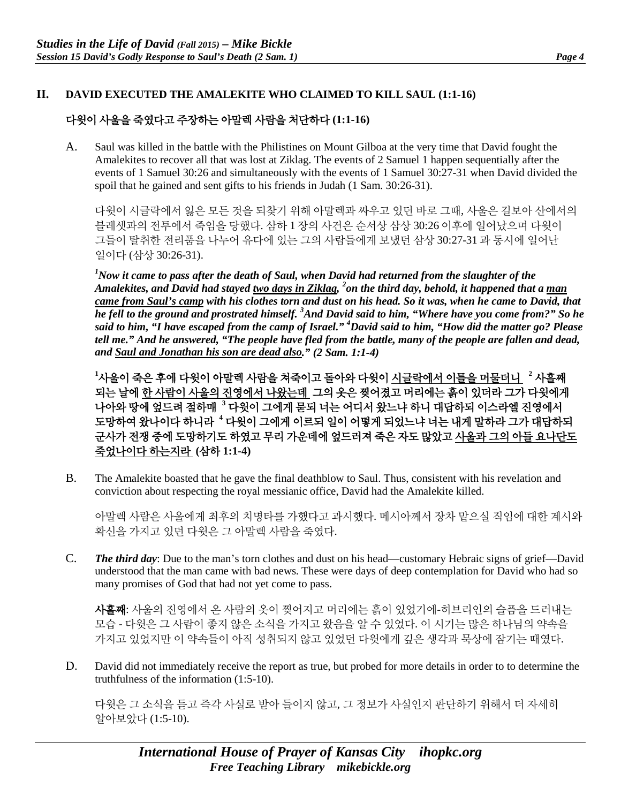#### **II. DAVID EXECUTED THE AMALEKITE WHO CLAIMED TO KILL SAUL (1:1-16)**

### 다윗이 사울을 죽였다고 주장하는 아말렉 사람을 처단하다 **(1:1-16)**

A. Saul was killed in the battle with the Philistines on Mount Gilboa at the very time that David fought the Amalekites to recover all that was lost at Ziklag. The events of 2 Samuel 1 happen sequentially after the events of 1 Samuel 30:26 and simultaneously with the events of 1 Samuel 30:27-31 when David divided the spoil that he gained and sent gifts to his friends in Judah (1 Sam. 30:26-31).

다윗이 시글락에서 잃은 모든 것을 되찾기 위해 아말렉과 싸우고 있던 바로 그때, 사울은 길보아 산에서의 블레셋과의 전투에서 죽임을 당했다. 삼하 1 장의 사건은 순서상 삼상 30:26 이후에 일어났으며 다윗이 그들이 탈취한 전리품을 나누어 유다에 있는 그의 사람들에게 보냈던 삼상 30:27-31 과 동시에 일어난 일이다 (삼상 30:26-31).

*1 Now it came to pass after the death of Saul, when David had returned from the slaughter of the Amalekites, and David had stayed two days in Ziklag, 2 on the third day, behold, it happened that a man came from Saul's camp with his clothes torn and dust on his head. So it was, when he came to David, that he fell to the ground and prostrated himself. 3 And David said to him, "Where have you come from?" So he said to him, "I have escaped from the camp of Israel." 4 David said to him, "How did the matter go? Please tell me." And he answered, "The people have fled from the battle, many of the people are fallen and dead, and Saul and Jonathan his son are dead also." (2 Sam. 1:1-4)*

**1** 사울이 죽은 후에 다윗이 아말렉 사람을 쳐죽이고 돌아와 다윗이 시글락에서 이틀을 머물더니 **<sup>2</sup>** 사흘째 되는 날에 한 사람이 사울의 진영에서 나왔는데 그의 옷은 찢어졌고 머리에는 흙이 있더라 그가 다윗에게 나아와 땅에 엎드려 절하매 **<sup>3</sup>** 다윗이 그에게 묻되 너는 어디서 왔느냐 하니 대답하되 이스라엘 진영에서 도망하여 왔나이다 하니라 **<sup>4</sup>** 다윗이 그에게 이르되 일이 어떻게 되었느냐 너는 내게 말하라 그가 대답하되 군사가 전쟁 중에 도망하기도 하였고 무리 가운데에 엎드러져 죽은 자도 많았고 사울과 그의 아들 요나단도 죽었나이다 하는지라 **(**삼하 **1:1-4)**

B. The Amalekite boasted that he gave the final deathblow to Saul. Thus, consistent with his revelation and conviction about respecting the royal messianic office, David had the Amalekite killed.

아말렉 사람은 사울에게 최후의 치명타를 가했다고 과시했다. 메시아께서 장차 맡으실 직임에 대한 계시와 확신을 가지고 있던 다윗은 그 아말렉 사람을 죽였다.

C. *The third day*: Due to the man's torn clothes and dust on his head—customary Hebraic signs of grief—David understood that the man came with bad news. These were days of deep contemplation for David who had so many promises of God that had not yet come to pass.

사흘째: 사울의 진영에서 온 사람의 옷이 찢어지고 머리에는 흙이 있었기에-히브리인의 슬픔을 드러내는 모습 - 다윗은 그 사람이 좋지 않은 소식을 가지고 왔음을 알 수 있었다. 이 시기는 많은 하나님의 약속을 가지고 있었지만 이 약속들이 아직 성취되지 않고 있었던 다윗에게 깊은 생각과 묵상에 잠기는 때였다.

D. David did not immediately receive the report as true, but probed for more details in order to to determine the truthfulness of the information (1:5-10).

다윗은 그 소식을 듣고 즉각 사실로 받아 들이지 않고, 그 정보가 사실인지 판단하기 위해서 더 자세히 알아보았다 (1:5-10).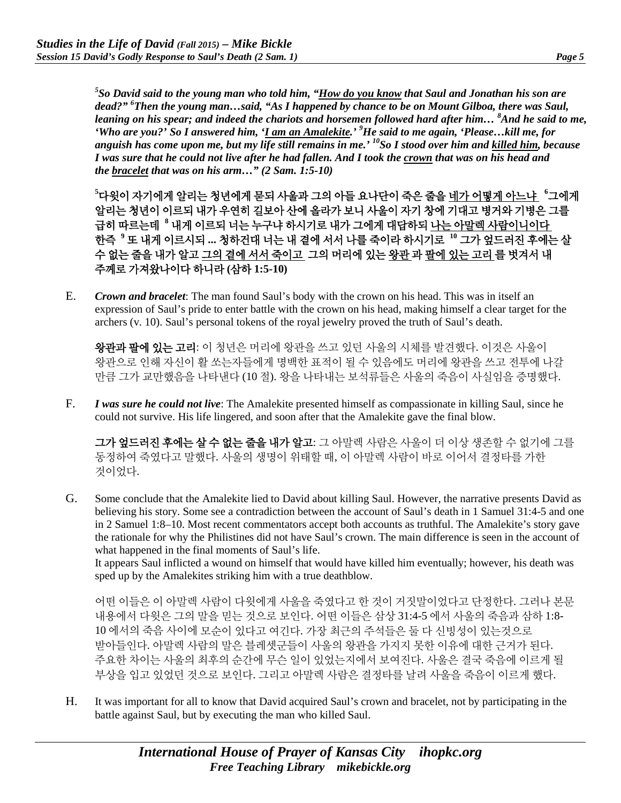*5 So David said to the young man who told him, "How do you know that Saul and Jonathan his son are dead?" 6 Then the young man…said, "As I happened by chance to be on Mount Gilboa, there was Saul, leaning on his spear; and indeed the chariots and horsemen followed hard after him… <sup>8</sup> And he said to me, 'Who are you?' So I answered him, 'I am an Amalekite.' 9 He said to me again, 'Please…kill me, for anguish has come upon me, but my life still remains in me.' 10So I stood over him and killed him, because I was sure that he could not live after he had fallen. And I took the crown that was on his head and the bracelet that was on his arm…" (2 Sam. 1:5-10)*

**5** 다윗이 자기에게 알리는 청년에게 묻되 사울과 그의 아들 요나단이 죽은 줄을 네가 어떻게 아느냐 **<sup>6</sup>** 그에게 알리는 청년이 이르되 내가 우연히 길보아 산에 올라가 보니 사울이 자기 창에 기대고 병거와 기병은 그를 급히 따르는데 **<sup>8</sup>** 내게 이르되 너는 누구냐 하시기로 내가 그에게 대답하되 나는 아말렉 사람이니이다 한즉 **<sup>9</sup>** 또 내게 이르시되 **...** 청하건대 너는 내 곁에 서서 나를 죽이라 하시기로 **<sup>10</sup>** 그가 엎드러진 후에는 살 수 없는 줄을 내가 알고 그의 곁에 서서 죽이고 그의 머리에 있는 왕관 과 팔에 있는 고리 를 벗겨서 내 주께로 가져왔나이다 하니라 **(**삼하 **1:5-10)**

E. *Crown and bracelet*: The man found Saul's body with the crown on his head. This was in itself an expression of Saul's pride to enter battle with the crown on his head, making himself a clear target for the archers (v. 10). Saul's personal tokens of the royal jewelry proved the truth of Saul's death.

왕관과 팔에 있는 고리: 이 청년은 머리에 왕관을 쓰고 있던 사울의 시체를 발견했다. 이것은 사울이 왕관으로 인해 자신이 활 쏘는자들에게 명백한 표적이 될 수 있음에도 머리에 왕관을 쓰고 전투에 나갈 만큼 그가 교만했음을 나타낸다 (10 절). 왕을 나타내는 보석류들은 사울의 죽음이 사실임을 증명했다.

F. *I was sure he could not live*: The Amalekite presented himself as compassionate in killing Saul, since he could not survive. His life lingered, and soon after that the Amalekite gave the final blow.

그가 엎드러진 후에는 살 수 없는 줄을 내가 알고: 그 아말렉 사람은 사울이 더 이상 생존할 수 없기에 그를 동정하여 죽였다고 말했다. 사울의 생명이 위태할 때, 이 아말렉 사람이 바로 이어서 결정타를 가한 것이었다.

G. Some conclude that the Amalekite lied to David about killing Saul. However, the narrative presents David as believing his story. Some see a contradiction between the account of Saul's death in 1 Samuel 31:4-5 and one in 2 Samuel 1:8–10. Most recent commentators accept both accounts as truthful. The Amalekite's story gave the rationale for why the Philistines did not have Saul's crown. The main difference is seen in the account of what happened in the final moments of Saul's life.

It appears Saul inflicted a wound on himself that would have killed him eventually; however, his death was sped up by the Amalekites striking him with a true deathblow.

어떤 이들은 이 아말렉 사람이 다윗에게 사울을 죽였다고 한 것이 거짓말이었다고 단정한다. 그러나 본문 내용에서 다윗은 그의 말을 믿는 것으로 보인다. 어떤 이들은 삼상 31:4-5 에서 사울의 죽음과 삼하 1:8- 10 에서의 죽음 사이에 모순이 있다고 여긴다. 가장 최근의 주석들은 둘 다 신빙성이 있는것으로 받아들인다. 아말렉 사람의 말은 블레셋군들이 사울의 왕관을 가지지 못한 이유에 대한 근거가 된다. 주요한 차이는 사울의 최후의 순간에 무슨 일이 있었는지에서 보여진다. 사울은 결국 죽음에 이르게 될 부상을 입고 있었던 것으로 보인다. 그리고 아말렉 사람은 결정타를 날려 사울을 죽음이 이르게 했다.

H. It was important for all to know that David acquired Saul's crown and bracelet, not by participating in the battle against Saul, but by executing the man who killed Saul.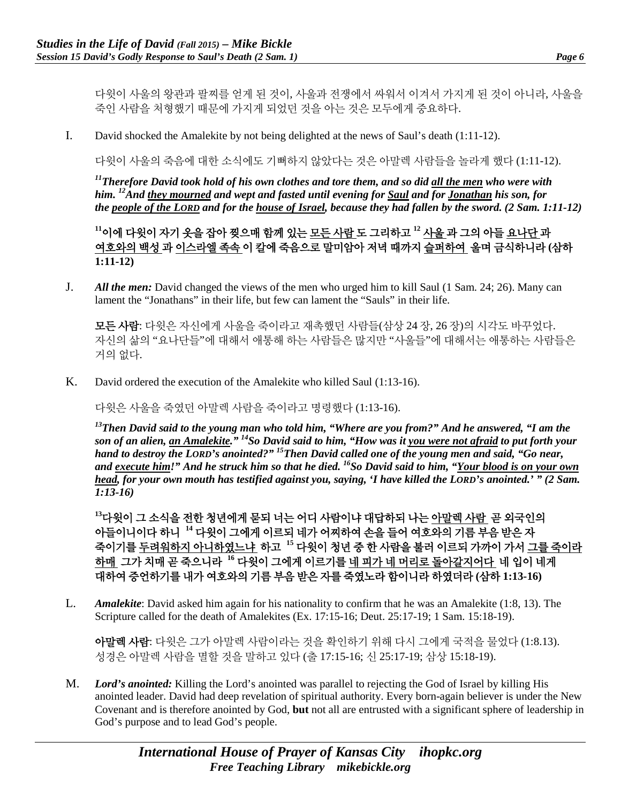다윗이 사울의 왕관과 팔찌를 얻게 된 것이, 사울과 전쟁에서 싸워서 이겨서 가지게 된 것이 아니라, 사울을 죽인 사람을 처형했기 때문에 가지게 되었던 것을 아는 것은 모두에게 중요하다.

I. David shocked the Amalekite by not being delighted at the news of Saul's death (1:11-12).

다윗이 사울의 죽음에 대한 소식에도 기뻐하지 않았다는 것은 아말렉 사람들을 놀라게 했다 (1:11-12).

*11Therefore David took hold of his own clothes and tore them, and so did all the men who were with him. 12And they mourned and wept and fasted until evening for Saul and for Jonathan his son, for the people of the LORD and for the house of Israel, because they had fallen by the sword. (2 Sam. 1:11-12)*

**<sup>11</sup>**이에 다윗이 자기 옷을 잡아 찢으매 함께 있는 모든 사람 도 그리하고 **<sup>12</sup>** 사울 과 그의 아들 요나단 과 여호와의 백성 과 이스라엘 족속 이 칼에 죽음으로 말미암아 저녁 때까지 슬퍼하여 울며 금식하니라 **(**삼하 **1:11-12)**

J. *All the men:* David changed the views of the men who urged him to kill Saul (1 Sam. 24; 26). Many can lament the "Jonathans" in their life, but few can lament the "Sauls" in their life.

모든 사람: 다윗은 자신에게 사울을 죽이라고 재촉했던 사람들(삼상 24 장, 26 장)의 시각도 바꾸었다. 자신의 삶의 "요나단들"에 대해서 애통해 하는 사람들은 많지만 "사울들"에 대해서는 애통하는 사람들은 거의 없다.

K. David ordered the execution of the Amalekite who killed Saul (1:13-16).

다윗은 사울을 죽였던 아말렉 사람을 죽이라고 명령했다 (1:13-16).

*13Then David said to the young man who told him, "Where are you from?" And he answered, "I am the son of an alien, an Amalekite." 14So David said to him, "How was it you were not afraid to put forth your hand to destroy the LORD's anointed?" 15Then David called one of the young men and said, "Go near, and execute him!" And he struck him so that he died. 16So David said to him, "Your blood is on your own head, for your own mouth has testified against you, saying, 'I have killed the LORD's anointed.' " (2 Sam. 1:13-16)*

**<sup>13</sup>**다윗이 그 소식을 전한 청년에게 묻되 너는 어디 사람이냐 대답하되 나는 아말렉 사람 곧 외국인의 아들이니이다 하니 **<sup>14</sup>** 다윗이 그에게 이르되 네가 어찌하여 손을 들어 여호와의 기름 부음 받은 자 죽이기를 두려워하지 아니하였느냐 하고 **<sup>15</sup>** 다윗이 청년 중 한 사람을 불러 이르되 가까이 가서 그를 죽이라 하매 그가 치매 곧 죽으니라 **<sup>16</sup>** 다윗이 그에게 이르기를 네 피가 네 머리로 돌아갈지어다 네 입이 네게 대하여 증언하기를 내가 여호와의 기름 부음 받은 자를 죽였노라 함이니라 하였더라 **(**삼하 **1:13-16)**

L. *Amalekite*: David asked him again for his nationality to confirm that he was an Amalekite (1:8, 13). The Scripture called for the death of Amalekites (Ex. 17:15-16; Deut. 25:17-19; 1 Sam. 15:18-19).

아말렉 사람: 다윗은 그가 아말렉 사람이라는 것을 확인하기 위해 다시 그에게 국적을 물었다 (1:8.13). 성경은 아말렉 사람을 멸할 것을 말하고 있다 (출 17:15-16; 신 25:17-19; 삼상 15:18-19).

M. *Lord's anointed:* Killing the Lord's anointed was parallel to rejecting the God of Israel by killing His anointed leader. David had deep revelation of spiritual authority. Every born-again believer is under the New Covenant and is therefore anointed by God, **but** not all are entrusted with a significant sphere of leadership in God's purpose and to lead God's people.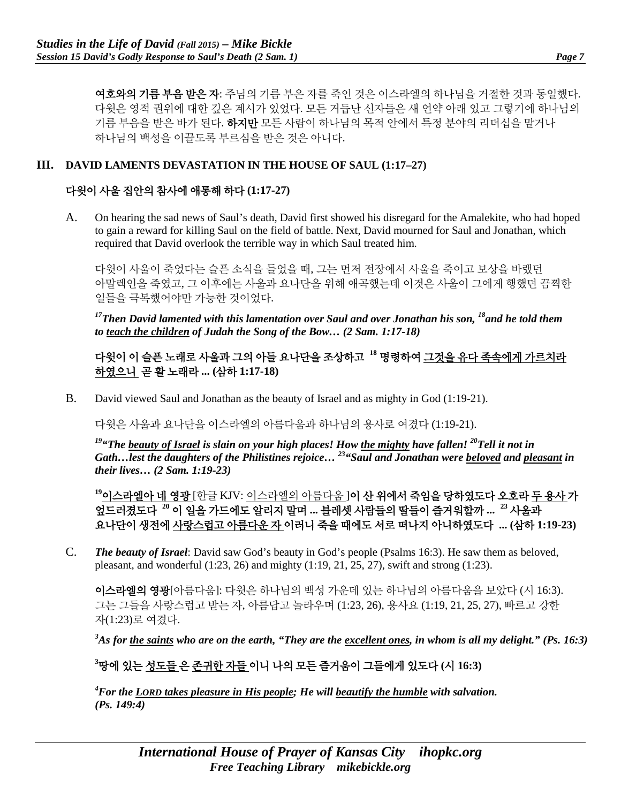여호와의 기름 부음 받은 자: 주님의 기름 부은 자를 죽인 것은 이스라엘의 하나님을 거절한 것과 동일했다. 다윗은 영적 권위에 대한 깊은 계시가 있었다. 모든 거듭난 신자들은 새 언약 아래 있고 그렇기에 하나님의 기름 부음을 받은 바가 된다. 하지만 모든 사람이 하나님의 목적 안에서 특정 분야의 리더십을 맡거나 하나님의 백성을 이끌도록 부르심을 받은 것은 아니다.

#### **III. DAVID LAMENTS DEVASTATION IN THE HOUSE OF SAUL (1:17–27)**

#### 다윗이 사울 집안의 참사에 애통해 하다 **(1:17-27)**

A. On hearing the sad news of Saul's death, David first showed his disregard for the Amalekite, who had hoped to gain a reward for killing Saul on the field of battle. Next, David mourned for Saul and Jonathan, which required that David overlook the terrible way in which Saul treated him.

다윗이 사울이 죽었다는 슬픈 소식을 들었을 때, 그는 먼저 전장에서 사울을 죽이고 보상을 바랬던 아말렉인을 죽였고, 그 이후에는 사울과 요나단을 위해 애곡했는데 이것은 사울이 그에게 행했던 끔찍한 일들을 극복했어야만 가능한 것이었다.

<sup>17</sup>Then David lamented with this lamentation over Saul and over Jonathan his son, <sup>18</sup>and he told them *to teach the children of Judah the Song of the Bow… (2 Sam. 1:17-18)*

### 다윗이 이 슬픈 노래로 사울과 그의 아들 요나단을 조상하고 **<sup>18</sup>** 명령하여 그것을 유다 족속에게 가르치라 하였으니 곧 활 노래라 **... (**삼하 **1:17-18)**

B. David viewed Saul and Jonathan as the beauty of Israel and as mighty in God (1:19-21).

다윗은 사울과 요나단을 이스라엘의 아름다움과 하나님의 용사로 여겼다 (1:19-21).

*19"The beauty of Israel is slain on your high places! How the mighty have fallen! 20Tell it not in Gath…lest the daughters of the Philistines rejoice… 23"Saul and Jonathan were beloved and pleasant in their lives… (2 Sam. 1:19-23)*

**<sup>19</sup>**이스라엘아 네 영광 [한글 KJV: 이스라엘의 아름다움 ]이 산 위에서 죽임을 당하였도다 오호라 두 용사 가 엎드러졌도다 **<sup>20</sup>** 이 일을 가드에도 알리지 말며 **...** 블레셋 사람들의 딸들이 즐거워할까 **... <sup>23</sup>** 사울과 요나단이 생전에 사랑스럽고 아름다운 자 이러니 죽을 때에도 서로 떠나지 아니하였도다 **... (**삼하 **1:19-23)**

C. *The beauty of Israel*: David saw God's beauty in God's people (Psalms 16:3). He saw them as beloved, pleasant, and wonderful  $(1:23, 26)$  and mighty  $(1:19, 21, 25, 27)$ , swift and strong  $(1:23)$ .

이스라엘의 영광[아름다움]: 다윗은 하나님의 백성 가운데 있는 하나님의 아름다움을 보았다 (시 16:3). 그는 그들을 사랑스럽고 받는 자, 아름답고 놀라우며 (1:23, 26), 용사요 (1:19, 21, 25, 27), 빠르고 강한 자(1:23)로 여겼다.

*3 As for the saints who are on the earth, "They are the excellent ones, in whom is all my delight." (Ps. 16:3)*

#### **3** 땅에 있는 성도들 은 존귀한 자들 이니 나의 모든 즐거움이 그들에게 있도다 **(**시 **16:3)**

*4 For the LORD takes pleasure in His people; He will beautify the humble with salvation. (Ps. 149:4)*